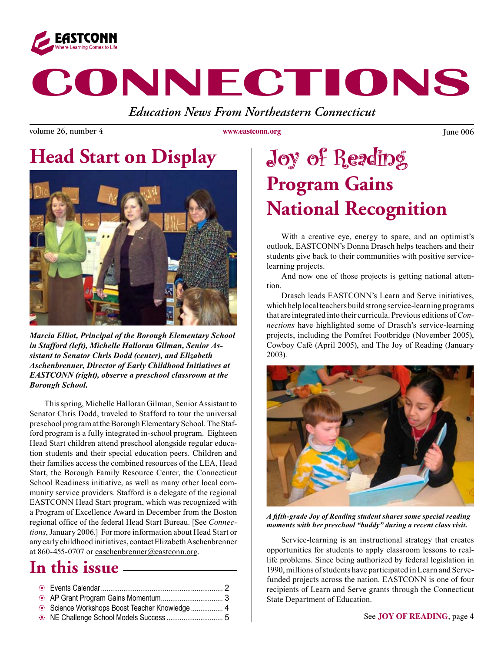

# **CONNECTIONS**

*Education News From Northeastern Connecticut*

volume 26, number 4 Vulle and the Vulle of Vulle and Vulle and Vulle and Vulle and Vulle 26, number 4 June 006

**www.eastconn.org**

# **Head Start on Display**



*Marcia Elliot, Principal of the Borough Elementary School in Stafford (left), Michelle Halloran Gilman, Senior Assistant to Senator Chris Dodd (center), and Elizabeth Aschenbrenner, Director of Early Childhood Initiatives at EASTCONN (right), observe a preschool classroom at the Borough School.*

This spring, Michelle Halloran Gilman, Senior Assistant to Senator Chris Dodd, traveled to Stafford to tour the universal preschool program at the Borough Elementary School. The Stafford program is a fully integrated in-school program. Eighteen Head Start children attend preschool alongside regular education students and their special education peers. Children and their families access the combined resources of the LEA, Head Start, the Borough Family Resource Center, the Connecticut School Readiness initiative, as well as many other local community service providers. Stafford is a delegate of the regional EASTCONN Head Start program, which was recognized with a Program of Excellence Award in December from the Boston regional offce of the federal Head Start Bureau. [See *Connections*, January 2006.] For more information about Head Start or any early childhood initiatives, contact Elizabeth Aschenbrenner at 860-455-0707 or easchenbrenner@eastconn.org.

### **In this issue**

| Science Workshops Boost Teacher Knowledge  4 |  |
|----------------------------------------------|--|
|                                              |  |
|                                              |  |

# Joy of Reading **Program Gains National Recognition**

With a creative eye, energy to spare, and an optimist's outlook, EASTCONN's Donna Drasch helps teachers and their students give back to their communities with positive servicelearning projects.

And now one of those projects is getting national attention.

Drasch leads EASTCONN's Learn and Serve initiatives, which help local teachers build strong service-learning programs that are integrated into their curricula. Previous editions of *Connections* have highlighted some of Drasch's service-learning projects, including the Pomfret Footbridge (November 2005), Cowboy Café (April 2005), and The Joy of Reading (January 2003).



*A ffth-grade Joy of Reading student shares some special reading moments with her preschool "buddy" during a recent class visit.*

Service-learning is an instructional strategy that creates opportunities for students to apply classroom lessons to reallife problems. Since being authorized by federal legislation in 1990, millions of students have participated in Learn and Servefunded projects across the nation. EASTCONN is one of four recipients of Learn and Serve grants through the Connecticut State Department of Education.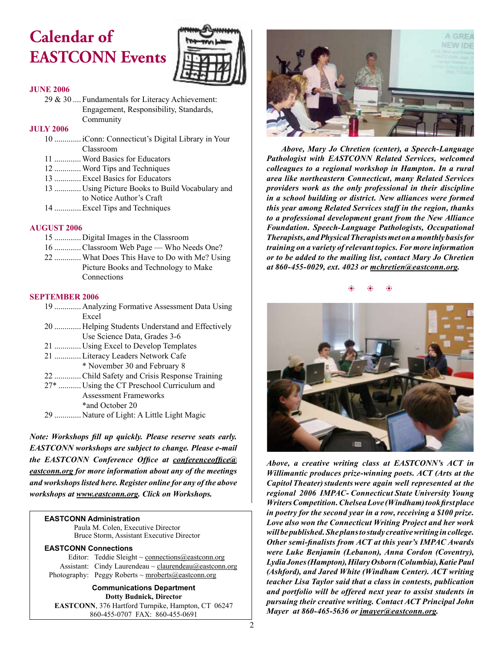# **Calendar of EASTCONN Events**



#### **JUNE 2006**

29 & 30 .... Fundamentals for Literacy Achievement: Engagement, Responsibility, Standards, Community

#### **JULY 2006**

 ............. iConn: Connecticut's Digital Library in Your Classroom .............Word Basics for Educators .............Word Tips and Techniques

- 13 .............Excel Basics for Educators
- 13 ............. Using Picture Books to Build Vocabulary and
- to Notice Author's Craft
- 14 .............Excel Tips and Techniques

#### **AUGUST 2006**

- 15 ............. Digital Images in the Classroom
- 16 .............Classroom Web Page Who Needs One?
- 22 .............What Does This Have to Do with Me? Using Picture Books and Technology to Make Connections

#### **SEPTEMBER 2006**

- 19 ............. Analyzing Formative Assessment Data Using Excel 20 ............. Helping Students Understand and Effectively
	- Use Science Data, Grades 3-6
- 21 ............. Using Excel to Develop Templates
- 21 .............Literacy Leaders Network Cafe
- \* November 30 and February 8
- 22 .............Child Safety and Crisis Response Training
- 27\* ........... Using the CT Preschool Curriculum and Assessment Frameworks \*and October 20
- 29 ............. Nature of Light: A Little Light Magic

*Note: Workshops fll up quickly. Please reserve seats early. EASTCONN workshops are subject to change. Please e-mail the EASTCONN Conference Offce at conferenceoffce@ eastconn.org for more information about any of the meetings and workshops listed here. Register online for any of the above workshops at www.eastconn.org. Click on Workshops.*

#### **EASTCONN Administration**

Paula M. Colen, Executive Director Bruce Storm, Assistant Executive Director

#### **EASTCONN Connections**

| Editor: Teddie Sleight ~ connections@eastconn.org        |
|----------------------------------------------------------|
| Assistant: Cindy Laurendeau ~ claurendeau@eastconn.org   |
| Photography: Peggy Roberts $\sim$ mroberts @eastconn.org |

**Communications Department Dotty Budnick, Director EASTCONN**, 376 Hartford Turnpike, Hampton, CT 06247 860-455-0707 FAX: 860-455-0691



*Above, Mary Jo Chretien (center), a Speech-Language Pathologist with EASTCONN Related Services, welcomed colleagues to a regional workshop in Hampton. In a rural area like northeastern Connecticut, many Related Services providers work as the only professional in their discipline in a school building or district. New alliances were formed this year among Related Services staff in the region, thanks to a professional development grant from the New Alliance Foundation. Speech-Language Pathologists, Occupational Therapists, and Physical Therapists met on a monthly basis for training on a variety of relevant topics. For more information or to be added to the mailing list, contact Mary Jo Chretien at 860-455-0029, ext. 4023 or mchretien@eastconn.org.*

 $\circledast$  b  $\circledast$ 



*Above, a creative writing class at EASTCONN's ACT in Willimantic produces prize-winning poets. ACT (Arts at the Capitol Theater) students were again well represented at the regional 2006 IMPAC- Connecticut State University Young Writers Competition. Chelsea Love (Windham) took frst place in poetry for the second year in a row, receiving a \$100 prize. Love also won the Connecticut Writing Project and her work will be published. She plans to study creative writing in college. Other semi-fnalists from ACT at this year's IMPAC Awards were Luke Benjamin (Lebanon), Anna Cordon (Coventry), Lydia Jones (Hampton), Hilary Osborn (Columbia), Katie Paul (Ashford), and Jared White (Windham Center). ACT writing teacher Lisa Taylor said that a class in contests, publication and portfolio will be offered next year to assist students in pursuing their creative writing. Contact ACT Principal John Mayer at 860-465-5636 or jmayer@eastconn.org.*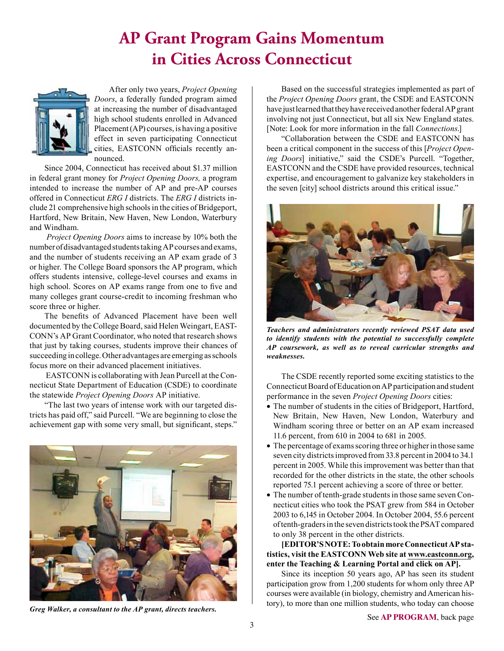### **AP Grant Program Gains Momentum in Cities Across Connecticut**



After only two years, *Project Opening Doors*, a federally funded program aimed at increasing the number of disadvantaged high school students enrolled in Advanced Placement (AP) courses, is having a positive effect in seven participating Connecticut cities, EASTCONN officials recently announced.

Since 2004, Connecticut has received about \$1.37 million in federal grant money for *Project Opening Doors,* a program intended to increase the number of AP and pre-AP courses offered in Connecticut *ERG I* districts. The *ERG I* districts include 21 comprehensive high schools in the cities of Bridgeport, Hartford, New Britain, New Haven, New London, Waterbury and Windham.

*Project Opening Doors* aims to increase by 10% both the number of disadvantaged students taking AP courses and exams, and the number of students receiving an AP exam grade of 3 or higher. The College Board sponsors the AP program, which offers students intensive, college-level courses and exams in high school. Scores on AP exams range from one to five and many colleges grant course-credit to incoming freshman who score three or higher.

The benefts of Advanced Placement have been well documented by the College Board, said Helen Weingart, EAST-CONN's AP Grant Coordinator, who noted that research shows that just by taking courses, students improve their chances of succeeding in college. Other advantages are emerging as schools focus more on their advanced placement initiatives.

 EASTCONN is collaborating with Jean Purcell at the Connecticut State Department of Education (CSDE) to coordinate the statewide *Project Opening Doors* AP initiative.

"The last two years of intense work with our targeted districts has paid off," said Purcell. "We are beginning to close the achievement gap with some very small, but signifcant, steps."



*Greg Walker, a consultant to the AP grant, directs teachers.*

Based on the successful strategies implemented as part of the *Project Opening Doors* grant, the CSDE and EASTCONN have just learned that they have received another federal AP grant involving not just Connecticut, but all six New England states. [Note: Look for more information in the fall *Connections*.]

"Collaboration between the CSDE and EASTCONN has been a critical component in the success of this [*Project Opening Doors*] initiative," said the CSDE's Purcell. "Together, EASTCONN and the CSDE have provided resources, technical expertise, and encouragement to galvanize key stakeholders in the seven [city] school districts around this critical issue."



*Teachers and administrators recently reviewed PSAT data used to identify students with the potential to successfully complete AP coursework, as well as to reveal curricular strengths and weaknesses.*

The CSDE recently reported some exciting statistics to the Connecticut Board of Education on AP participation and student performance in the seven *Project Opening Doors* cities:

- The number of students in the cities of Bridgeport, Hartford, New Britain, New Haven, New London, Waterbury and Windham scoring three or better on an AP exam increased 11.6 percent, from 610 in 2004 to 681 in 2005.
- The percentage of exams scoring three or higher in those same seven city districts improved from 33.8 percent in 2004 to 34.1 percent in 2005. While this improvement was better than that recorded for the other districts in the state, the other schools reported 75.1 percent achieving a score of three or better.
- The number of tenth-grade students in those same seven Connecticut cities who took the PSAT grew from 584 in October 2003 to 6,145 in October 2004. In October 2004, 55.6 percent of tenth-graders in the seven districts took the PSAT compared to only 38 percent in the other districts.

**[EDITOR'S NOTE: To obtain more Connecticut AP statistics, visit the EASTCONN Web site at www.eastconn.org, enter the Teaching & Learning Portal and click on AP].**

Since its inception 50 years ago, AP has seen its student participation grow from 1,200 students for whom only three AP courses were available (in biology, chemistry and American history), to more than one million students, who today can choose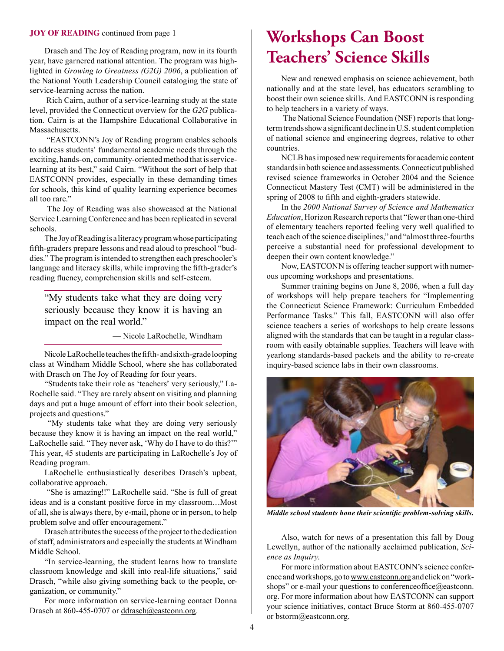#### **JOY OF READING** continued from page 1

Drasch and The Joy of Reading program, now in its fourth year, have garnered national attention. The program was highlighted in *Growing to Greatness (G2G) 2006*, a publication of the National Youth Leadership Council cataloging the state of service-learning across the nation.

 Rich Cairn, author of a service-learning study at the state level, provided the Connecticut overview for the *G2G* publication. Cairn is at the Hampshire Educational Collaborative in Massachusetts.

 "EASTCONN's Joy of Reading program enables schools to address students' fundamental academic needs through the exciting, hands-on, community-oriented method that is servicelearning at its best," said Cairn. "Without the sort of help that EASTCONN provides, especially in these demanding times for schools, this kind of quality learning experience becomes all too rare."

 The Joy of Reading was also showcased at the National Service Learning Conference and has been replicated in several schools.

The Joy of Reading is a literacy program whose participating ffth-graders prepare lessons and read aloud to preschool "buddies." The program is intended to strengthen each preschooler's language and literacy skills, while improving the ffth-grader's reading fuency, comprehension skills and self-esteem.

"My students take what they are doing very seriously because they know it is having an impact on the real world."

— Nicole LaRochelle, Windham

Nicole LaRochelle teaches the ffth- and sixth-grade looping class at Windham Middle School, where she has collaborated with Drasch on The Joy of Reading for four years.

"Students take their role as 'teachers' very seriously," La-Rochelle said. "They are rarely absent on visiting and planning days and put a huge amount of effort into their book selection, projects and questions."

 "My students take what they are doing very seriously because they know it is having an impact on the real world," LaRochelle said. "They never ask, 'Why do I have to do this?'" This year, 45 students are participating in LaRochelle's Joy of Reading program.

LaRochelle enthusiastically describes Drasch's upbeat, collaborative approach.

 "She is amazing!!" LaRochelle said. "She is full of great ideas and is a constant positive force in my classroom…Most of all, she is always there, by e-mail, phone or in person, to help problem solve and offer encouragement."

Drasch attributes the success of the project to the dedication of staff, administrators and especially the students at Windham Middle School.

"In service-learning, the student learns how to translate classroom knowledge and skill into real-life situations," said Drasch, "while also giving something back to the people, organization, or community."

For more information on service-learning contact Donna Drasch at 860-455-0707 or ddrasch@eastconn.org.

## **Workshops Can Boost Teachers' Science Skills**

New and renewed emphasis on science achievement, both nationally and at the state level, has educators scrambling to boost their own science skills. And EASTCONN is responding to help teachers in a variety of ways.

 The National Science Foundation (NSF) reports that longterm trends show a signifcant decline in U.S. student completion of national science and engineering degrees, relative to other countries.

NCLB has imposed new requirements for academic content standards in both science and assessments. Connecticut published revised science frameworks in October 2004 and the Science Connecticut Mastery Test (CMT) will be administered in the spring of 2008 to ffth and eighth-graders statewide.

In the *2000 National Survey of Science and Mathematics Education*, Horizon Research reports that "fewer than one-third of elementary teachers reported feeling very well qualifed to teach each of the science disciplines," and "almost three-fourths perceive a substantial need for professional development to deepen their own content knowledge."

Now, EASTCONN is offering teacher support with numerous upcoming workshops and presentations.

Summer training begins on June 8, 2006, when a full day of workshops will help prepare teachers for "Implementing the Connecticut Science Framework: Curriculum Embedded Performance Tasks." This fall, EASTCONN will also offer science teachers a series of workshops to help create lessons aligned with the standards that can be taught in a regular classroom with easily obtainable supplies. Teachers will leave with yearlong standards-based packets and the ability to re-create inquiry-based science labs in their own classrooms.



*Middle school students hone their scientifc problem-solving skills.*

Also, watch for news of a presentation this fall by Doug Lewellyn, author of the nationally acclaimed publication, *Science as Inquiry*.

For more information about EASTCONN's science conference and workshops, go to www.eastconn.org and click on "workshops" or e-mail your questions to conferenceoffice@eastconn. org. For more information about how EASTCONN can support your science initiatives, contact Bruce Storm at 860-455-0707 or bstorm@eastconn.org.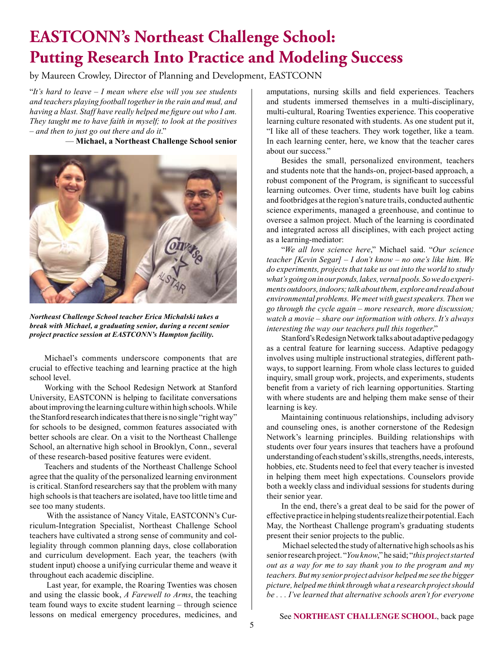# **EASTCONN's Northeast Challenge School: Putting Research Into Practice and Modeling Success**

by Maureen Crowley, Director of Planning and Development, EASTCONN

"*It's hard to leave – I mean where else will you see students and teachers playing football together in the rain and mud, and having a blast. Staff have really helped me fgure out who I am. They taught me to have faith in myself; to look at the positives – and then to just go out there and do it*." — **Michael, a Northeast Challenge School senior**



*Northeast Challenge School teacher Erica Michalski takes a break with Michael, a graduating senior, during a recent senior project practice session at EASTCONN's Hampton facility.*

Michael's comments underscore components that are crucial to effective teaching and learning practice at the high school level.

Working with the School Redesign Network at Stanford University, EASTCONN is helping to facilitate conversations about improving the learning culture within high schools. While the Stanford research indicates that there is no single "right way" for schools to be designed, common features associated with better schools are clear. On a visit to the Northeast Challenge School, an alternative high school in Brooklyn, Conn., several of these research-based positive features were evident.

Teachers and students of the Northeast Challenge School agree that the quality of the personalized learning environment is critical. Stanford researchers say that the problem with many high schools is that teachers are isolated, have too little time and see too many students.

 With the assistance of Nancy Vitale, EASTCONN's Curriculum-Integration Specialist, Northeast Challenge School teachers have cultivated a strong sense of community and collegiality through common planning days, close collaboration and curriculum development. Each year, the teachers (with student input) choose a unifying curricular theme and weave it throughout each academic discipline.

 Last year, for example, the Roaring Twenties was chosen and using the classic book, *A Farewell to Arms*, the teaching team found ways to excite student learning – through science lessons on medical emergency procedures, medicines, and amputations, nursing skills and feld experiences. Teachers and students immersed themselves in a multi-disciplinary, multi-cultural, Roaring Twenties experience. This cooperative learning culture resonated with students. As one student put it, "I like all of these teachers. They work together, like a team. In each learning center, here, we know that the teacher cares about our success."

Besides the small, personalized environment, teachers and students note that the hands-on, project-based approach, a robust component of the Program, is signifcant to successful learning outcomes. Over time, students have built log cabins and footbridges at the region's nature trails, conducted authentic science experiments, managed a greenhouse, and continue to oversee a salmon project. Much of the learning is coordinated and integrated across all disciplines, with each project acting as a learning-mediator:

"*We all love science here*," Michael said. "*Our science teacher [Kevin Segar] – I don't know – no one's like him. We do experiments, projects that take us out into the world to study what's going on in our ponds, lakes, vernal pools. So we do experiments outdoors, indoors; talk about them, explore and read about environmental problems. We meet with guest speakers. Then we go through the cycle again – more research, more discussion; watch a movie – share our information with others. It's always interesting the way our teachers pull this together*."

Stanford's Redesign Network talks about adaptive pedagogy as a central feature for learning success. Adaptive pedagogy involves using multiple instructional strategies, different pathways, to support learning. From whole class lectures to guided inquiry, small group work, projects, and experiments, students beneft from a variety of rich learning opportunities. Starting with where students are and helping them make sense of their learning is key.

Maintaining continuous relationships, including advisory and counseling ones, is another cornerstone of the Redesign Network's learning principles. Building relationships with students over four years insures that teachers have a profound understanding of each student's skills, strengths, needs, interests, hobbies, etc. Students need to feel that every teacher is invested in helping them meet high expectations. Counselors provide both a weekly class and individual sessions for students during their senior year.

In the end, there's a great deal to be said for the power of effective practice in helping students realize their potential. Each May, the Northeast Challenge program's graduating students present their senior projects to the public.

 Michael selected the study of alternative high schools as his senior research project. "*You know*," he said; "*this project started out as a way for me to say thank you to the program and my teachers. But my senior project advisor helped me see the bigger picture, helped me think through what a research project should be . . . I've learned that alternative schools aren't for everyone*